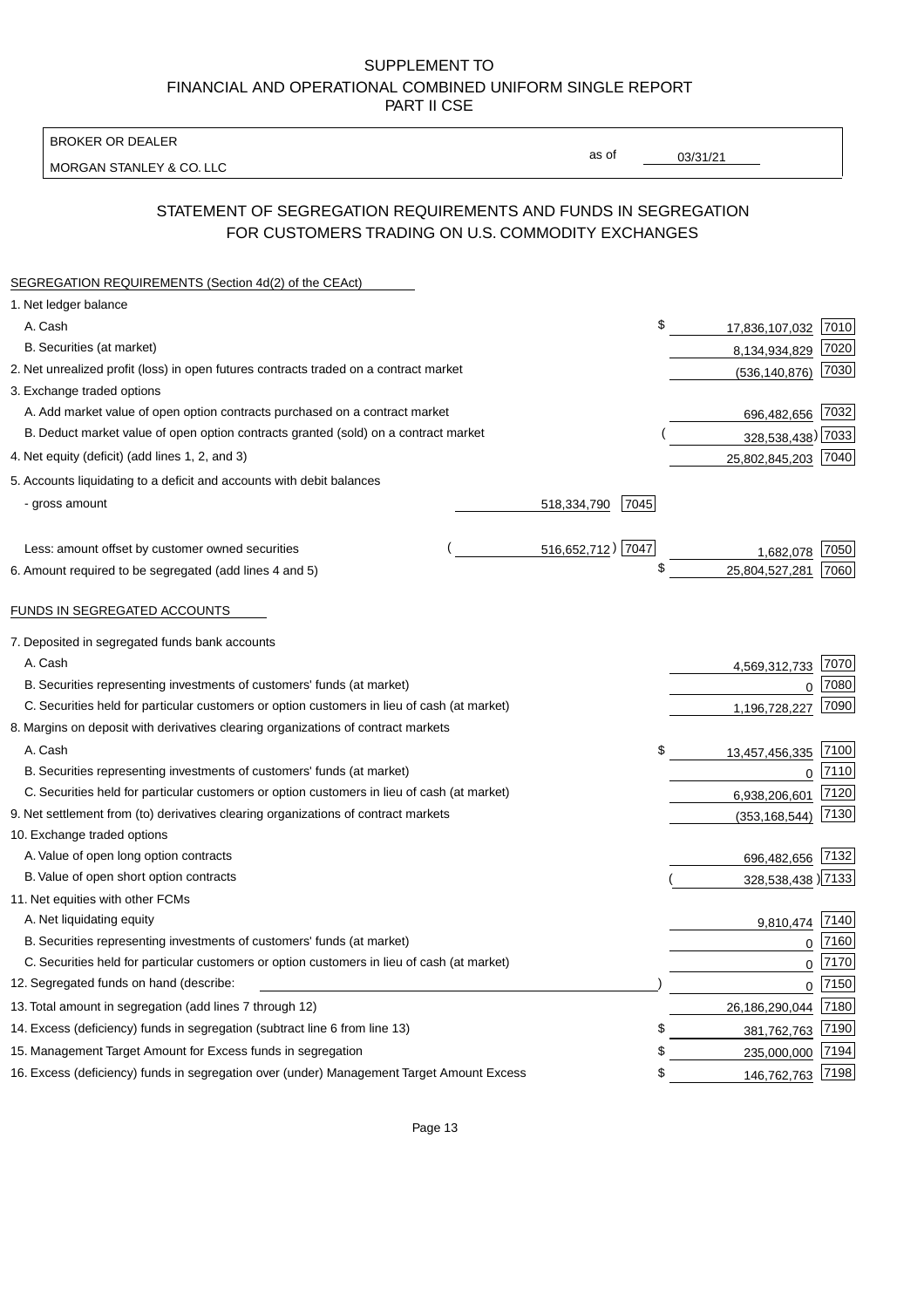BROKER OR DEALER

MORGAN STANLEY & CO. LLC

03/31/21

as of

# STATEMENT OF SEGREGATION REQUIREMENTS AND FUNDS IN SEGREGATION FOR CUSTOMERS TRADING ON U.S. COMMODITY EXCHANGES

| SEGREGATION REQUIREMENTS (Section 4d(2) of the CEAct)                                       |                     |                     |      |
|---------------------------------------------------------------------------------------------|---------------------|---------------------|------|
| 1. Net ledger balance                                                                       |                     |                     |      |
| A. Cash                                                                                     | \$                  | 17,836,107,032 7010 |      |
| B. Securities (at market)                                                                   |                     | 8,134,934,829       | 7020 |
| 2. Net unrealized profit (loss) in open futures contracts traded on a contract market       |                     | (536, 140, 876)     | 7030 |
| 3. Exchange traded options                                                                  |                     |                     |      |
| A. Add market value of open option contracts purchased on a contract market                 |                     | 696,482,656 7032    |      |
| B. Deduct market value of open option contracts granted (sold) on a contract market         |                     | 328,538,438) 7033   |      |
| 4. Net equity (deficit) (add lines 1, 2, and 3)                                             |                     | 25,802,845,203 7040 |      |
| 5. Accounts liquidating to a deficit and accounts with debit balances                       |                     |                     |      |
| - gross amount                                                                              | 7045<br>518,334,790 |                     |      |
|                                                                                             |                     |                     |      |
| Less: amount offset by customer owned securities                                            | 516,652,712) 7047   | 1,682,078           | 7050 |
| 6. Amount required to be segregated (add lines 4 and 5)                                     | \$                  | 25,804,527,281      | 7060 |
| FUNDS IN SEGREGATED ACCOUNTS                                                                |                     |                     |      |
| 7. Deposited in segregated funds bank accounts                                              |                     |                     |      |
| A. Cash                                                                                     |                     | 4,569,312,733       | 7070 |
| B. Securities representing investments of customers' funds (at market)                      |                     | $\Omega$            | 7080 |
| C. Securities held for particular customers or option customers in lieu of cash (at market) |                     | 1,196,728,227       | 7090 |
| 8. Margins on deposit with derivatives clearing organizations of contract markets           |                     |                     |      |
| A. Cash                                                                                     | \$                  | 13,457,456,335      | 7100 |
| B. Securities representing investments of customers' funds (at market)                      |                     | $\mathbf{0}$        | 7110 |
| C. Securities held for particular customers or option customers in lieu of cash (at market) |                     | 6,938,206,601       | 7120 |
| 9. Net settlement from (to) derivatives clearing organizations of contract markets          |                     | (353, 168, 544)     | 7130 |
| 10. Exchange traded options                                                                 |                     |                     |      |
| A. Value of open long option contracts                                                      |                     | 696,482,656         | 7132 |
| B. Value of open short option contracts                                                     |                     | 328,538,438 )7133   |      |
| 11. Net equities with other FCMs                                                            |                     |                     |      |
| A. Net liquidating equity                                                                   |                     | 9,810,474           | 7140 |
| B. Securities representing investments of customers' funds (at market)                      |                     | $\mathbf 0$         | 7160 |
| C. Securities held for particular customers or option customers in lieu of cash (at market) |                     | $\mathbf 0$         | 7170 |
| 12. Segregated funds on hand (describe:                                                     |                     | $\mathbf 0$         | 7150 |
| 13. Total amount in segregation (add lines 7 through 12)                                    |                     | 26,186,290,044      | 7180 |
| 14. Excess (deficiency) funds in segregation (subtract line 6 from line 13)                 | S                   | 381,762,763         | 7190 |
| 15. Management Target Amount for Excess funds in segregation                                | \$                  | 235,000,000         | 7194 |
| 16. Excess (deficiency) funds in segregation over (under) Management Target Amount Excess   | \$                  | 146,762,763         | 7198 |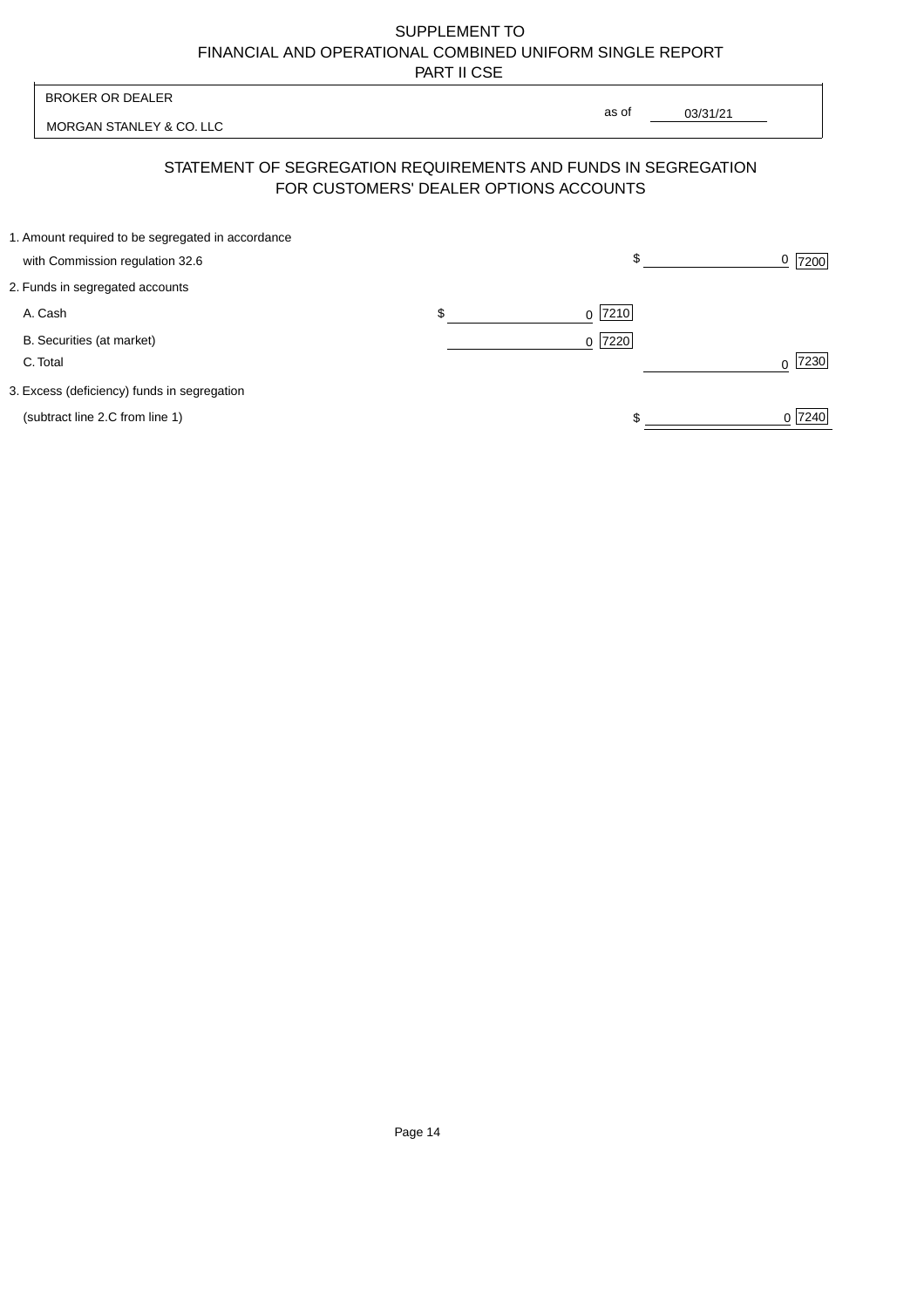| <b>BROKER OR DEALER</b>                                                              | as of                                  |          |                  |
|--------------------------------------------------------------------------------------|----------------------------------------|----------|------------------|
| MORGAN STANLEY & CO. LLC                                                             |                                        | 03/31/21 |                  |
| STATEMENT OF SEGREGATION REQUIREMENTS AND FUNDS IN SEGREGATION                       | FOR CUSTOMERS' DEALER OPTIONS ACCOUNTS |          |                  |
| 1. Amount required to be segregated in accordance<br>with Commission regulation 32.6 | \$                                     |          | 0<br>7200        |
| 2. Funds in segregated accounts                                                      |                                        |          |                  |
| A. Cash                                                                              | \$<br>7210<br><sup>0</sup>             |          |                  |
| B. Securities (at market)<br>C. Total                                                | 0 7220                                 |          | 7230<br>$\Omega$ |
| 3. Excess (deficiency) funds in segregation                                          |                                        |          |                  |
| (subtract line 2.C from line 1)                                                      |                                        |          | 0 7240           |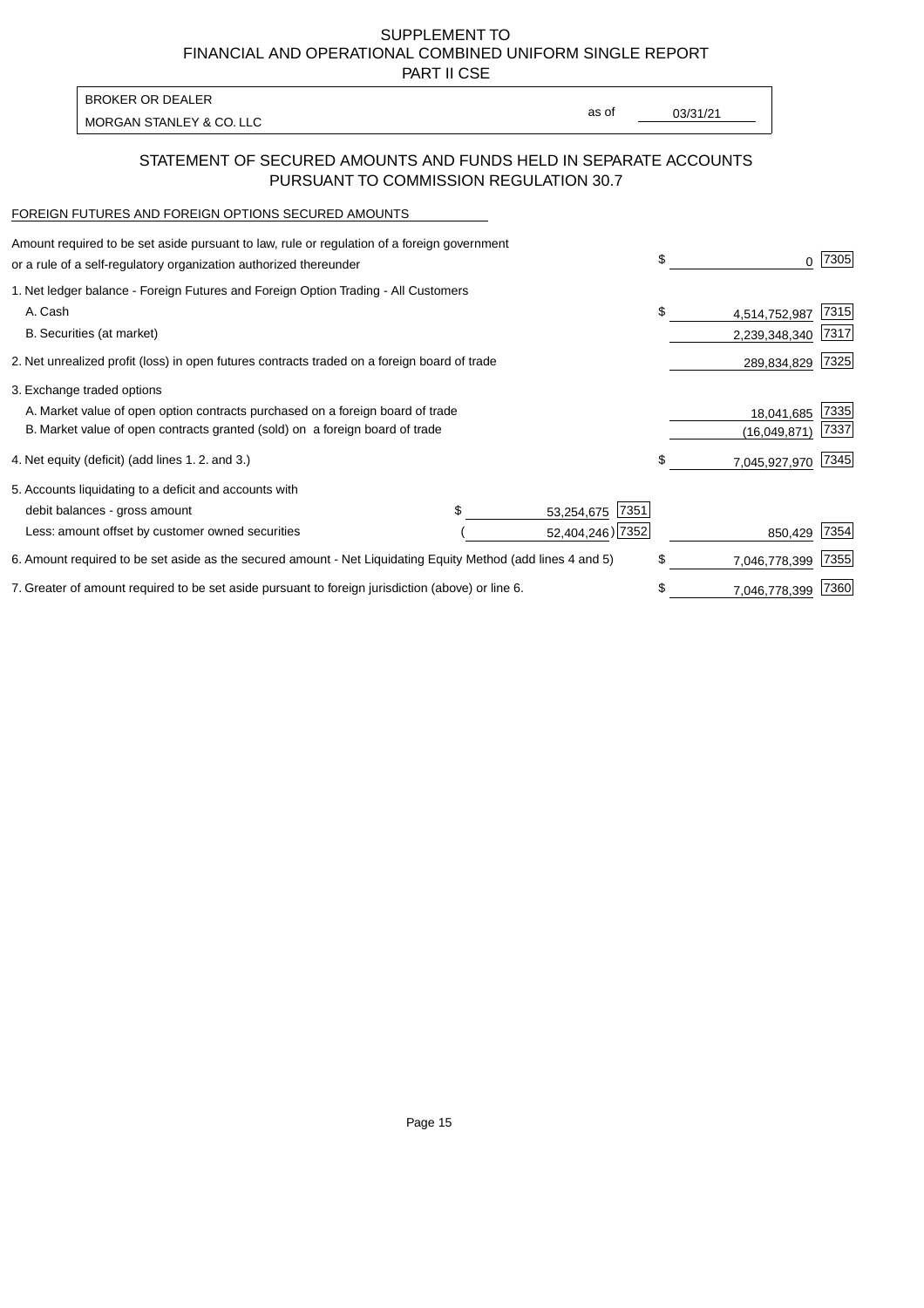PART II CSE

MORGAN STANLEY & CO. LLC and the contract of the contract of the contract of the contract of the contract of the contract of the contract of the contract of the contract of the contract of the contract of the contract of t BROKER OR DEALER

as of

#### STATEMENT OF SECURED AMOUNTS AND FUNDS HELD IN SEPARATE ACCOUNTS PURSUANT TO COMMISSION REGULATION 30.7

#### FOREIGN FUTURES AND FOREIGN OPTIONS SECURED AMOUNTS

| Amount required to be set aside pursuant to law, rule or regulation of a foreign government<br>or a rule of a self-regulatory organization authorized thereunder |                    | \$  | 0             | 7305 |
|------------------------------------------------------------------------------------------------------------------------------------------------------------------|--------------------|-----|---------------|------|
| 1. Net ledger balance - Foreign Futures and Foreign Option Trading - All Customers                                                                               |                    |     |               |      |
| A. Cash                                                                                                                                                          |                    | \$  | 4,514,752,987 | 7315 |
| B. Securities (at market)                                                                                                                                        |                    |     | 2,239,348,340 | 7317 |
| 2. Net unrealized profit (loss) in open futures contracts traded on a foreign board of trade                                                                     |                    |     | 289,834,829   | 7325 |
| 3. Exchange traded options                                                                                                                                       |                    |     |               |      |
| A. Market value of open option contracts purchased on a foreign board of trade                                                                                   |                    |     | 18,041,685    | 7335 |
| B. Market value of open contracts granted (sold) on a foreign board of trade                                                                                     |                    |     | (16.049.871)  | 7337 |
| 4. Net equity (deficit) (add lines 1.2. and 3.)                                                                                                                  |                    | \$. | 7,045,927,970 | 7345 |
| 5. Accounts liquidating to a deficit and accounts with                                                                                                           |                    |     |               |      |
| debit balances - gross amount                                                                                                                                    | 7351<br>53,254,675 |     |               |      |
| Less: amount offset by customer owned securities                                                                                                                 | 52,404,246) 7352   |     | 850,429       | 7354 |
| 6. Amount required to be set aside as the secured amount - Net Liquidating Equity Method (add lines 4 and 5)                                                     |                    | \$  | 7,046,778,399 | 7355 |
| 7. Greater of amount required to be set aside pursuant to foreign jurisdiction (above) or line 6.                                                                |                    | \$  | 7,046,778,399 | 7360 |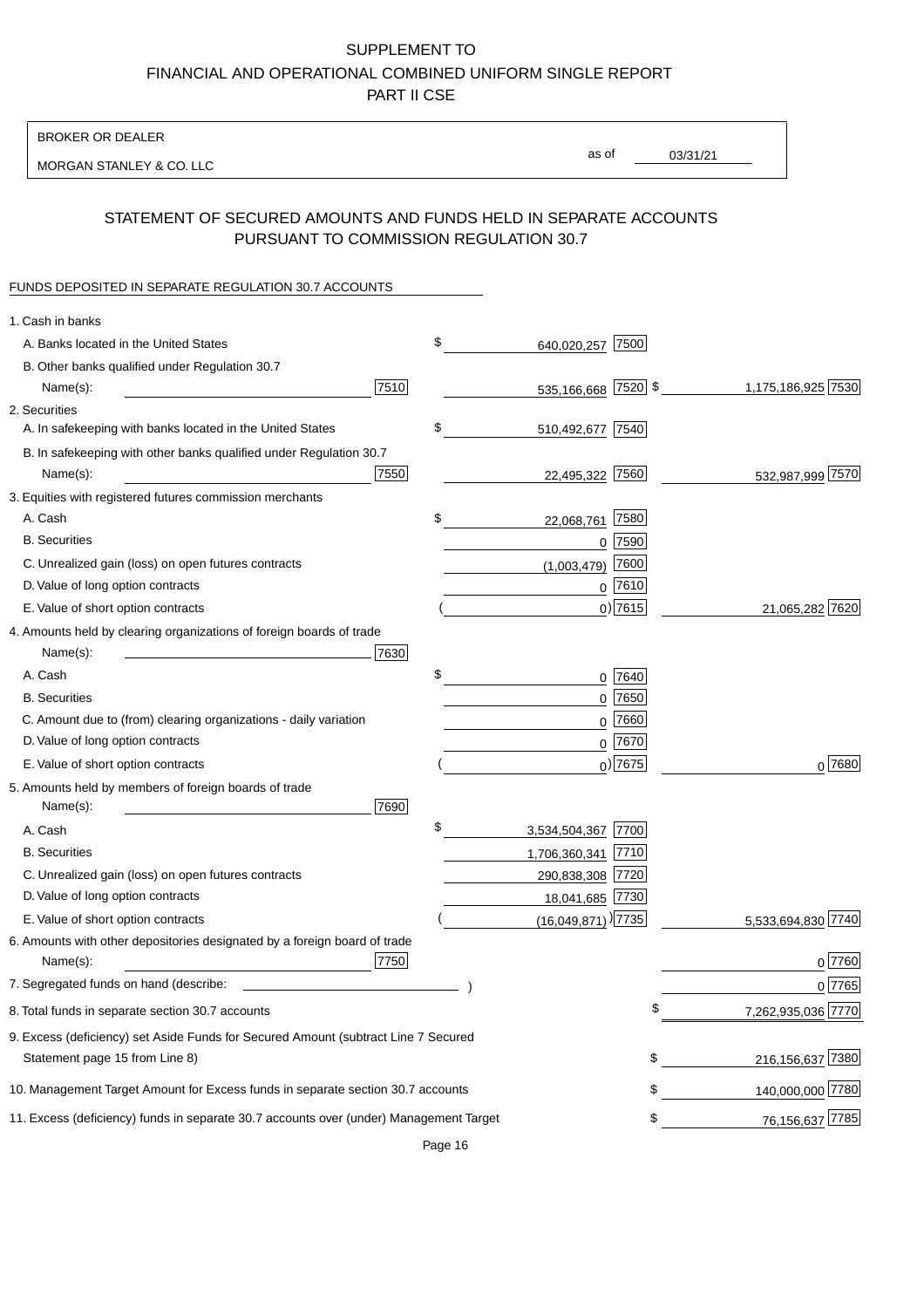BROKER OR DEALER

MORGAN STANLEY & CO. LLC

03/31/21 as of

# STATEMENT OF SECURED AMOUNTS AND FUNDS HELD IN SEPARATE ACCOUNTS PURSUANT TO COMMISSION REGULATION 30.7

## FUNDS DEPOSITED IN SEPARATE REGULATION 30.7 ACCOUNTS

| 1. Cash in banks                                                                              |                                  |                        |
|-----------------------------------------------------------------------------------------------|----------------------------------|------------------------|
| A. Banks located in the United States                                                         | \$<br>7500<br>640,020,257        |                        |
| B. Other banks qualified under Regulation 30.7                                                |                                  |                        |
| 7510<br>Name(s):                                                                              | 535,166,668 7520 \$              | 1,175,186,925 7530     |
| 2. Securities                                                                                 |                                  |                        |
| A. In safekeeping with banks located in the United States                                     | \$<br>510,492,677 7540           |                        |
| B. In safekeeping with other banks qualified under Regulation 30.7                            |                                  |                        |
| 7550<br>Name(s):                                                                              | 22,495,322 7560                  | 532,987,999 7570       |
| 3. Equities with registered futures commission merchants                                      |                                  |                        |
| A. Cash                                                                                       | \$<br>22,068,761 7580            |                        |
| <b>B.</b> Securities                                                                          | 7590<br>0                        |                        |
| C. Unrealized gain (loss) on open futures contracts                                           | 7600<br>(1,003,479)              |                        |
| D. Value of long option contracts                                                             | $0$ 7610                         |                        |
| E. Value of short option contracts                                                            | $0)$ 7615                        | 21,065,282 7620        |
| 4. Amounts held by clearing organizations of foreign boards of trade                          |                                  |                        |
| Name(s):<br>7630                                                                              |                                  |                        |
| A. Cash                                                                                       | \$<br>7640<br>0                  |                        |
| <b>B.</b> Securities                                                                          | $0$ 7650                         |                        |
| C. Amount due to (from) clearing organizations - daily variation                              | 0 7660                           |                        |
| D. Value of long option contracts                                                             | $0$ 7670                         |                        |
| E. Value of short option contracts                                                            | $0$ ) 7675                       | $0^{7680}$             |
| 5. Amounts held by members of foreign boards of trade                                         |                                  |                        |
| Name(s):<br>7690                                                                              |                                  |                        |
| A. Cash                                                                                       | \$<br>3,534,504,367 7700         |                        |
| <b>B.</b> Securities                                                                          | 7710<br>1,706,360,341            |                        |
| C. Unrealized gain (loss) on open futures contracts                                           | 290,838,308 7720                 |                        |
| D. Value of long option contracts                                                             | 18,041,685 7730                  |                        |
| E. Value of short option contracts                                                            | $(16,049,871)$ <sup>[7735]</sup> | 5,533,694,830 7740     |
| 6. Amounts with other depositories designated by a foreign board of trade<br>7750<br>Name(s): |                                  | 0 7760                 |
| 7. Segregated funds on hand (describe:                                                        |                                  | 0 7765                 |
| 8. Total funds in separate section 30.7 accounts                                              |                                  | 7,262,935,036 7770     |
| 9. Excess (deficiency) set Aside Funds for Secured Amount (subtract Line 7 Secured            |                                  |                        |
| Statement page 15 from Line 8)                                                                |                                  | \$<br>216,156,637 7380 |
| 10. Management Target Amount for Excess funds in separate section 30.7 accounts               |                                  | \$<br>140,000,000 7780 |
| 11. Excess (deficiency) funds in separate 30.7 accounts over (under) Management Target        |                                  | \$<br>76,156,637 7785  |
|                                                                                               |                                  |                        |